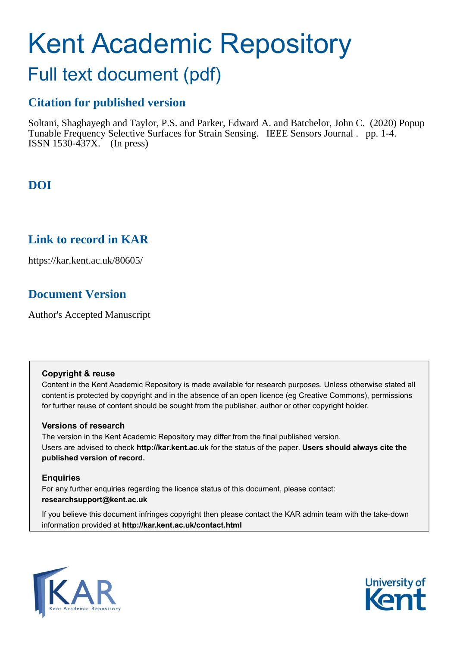# Kent Academic Repository

## Full text document (pdf)

## **Citation for published version**

Soltani, Shaghayegh and Taylor, P.S. and Parker, Edward A. and Batchelor, John C. (2020) Popup Tunable Frequency Selective Surfaces for Strain Sensing. IEEE Sensors Journal . pp. 1-4. ISSN 1530-437X. (In press)

## **DOI**

## **Link to record in KAR**

https://kar.kent.ac.uk/80605/

## **Document Version**

Author's Accepted Manuscript

## **Copyright & reuse**

Content in the Kent Academic Repository is made available for research purposes. Unless otherwise stated all content is protected by copyright and in the absence of an open licence (eg Creative Commons), permissions for further reuse of content should be sought from the publisher, author or other copyright holder.

## **Versions of research**

The version in the Kent Academic Repository may differ from the final published version. Users are advised to check **http://kar.kent.ac.uk** for the status of the paper. **Users should always cite the published version of record.**

## **Enquiries**

For any further enquiries regarding the licence status of this document, please contact: **researchsupport@kent.ac.uk**

If you believe this document infringes copyright then please contact the KAR admin team with the take-down information provided at **http://kar.kent.ac.uk/contact.html**



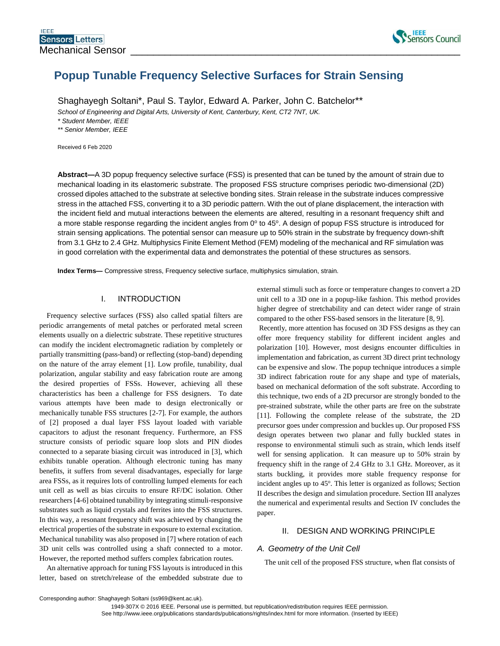

## **Popup Tunable Frequency Selective Surfaces for Strain Sensing**

Shaghayegh Soltani\*, Paul S. Taylor, Edward A. Parker, John C. Batchelor\*\*

*School of Engineering and Digital Arts, University of Kent, Canterbury, Kent, CT2 7NT, UK.*

*\* Student Member, IEEE*

*\*\* Senior Member, IEEE*

Received 6 Feb 2020

**Abstract—**A 3D popup frequency selective surface (FSS) is presented that can be tuned by the amount of strain due to mechanical loading in its elastomeric substrate. The proposed FSS structure comprises periodic two-dimensional (2D) crossed dipoles attached to the substrate at selective bonding sites. Strain release in the substrate induces compressive stress in the attached FSS, converting it to a 3D periodic pattern. With the out of plane displacement, the interaction with the incident field and mutual interactions between the elements are altered, resulting in a resonant frequency shift and a more stable response regarding the incident angles from  $0^{\circ}$  to 45°. A design of popup FSS structure is introduced for strain sensing applications. The potential sensor can measure up to 50% strain in the substrate by frequency down-shift from 3.1 GHz to 2.4 GHz. Multiphysics Finite Element Method (FEM) modeling of the mechanical and RF simulation was in good correlation with the experimental data and demonstrates the potential of these structures as sensors.

**Index Terms—** Compressive stress, Frequency selective surface, multiphysics simulation, strain.

#### I. INTRODUCTION

Frequency selective surfaces (FSS) also called spatial filters are periodic arrangements of metal patches or perforated metal screen elements usually on a dielectric substrate. These repetitive structures can modify the incident electromagnetic radiation by completely or partially transmitting (pass-band) or reflecting (stop-band) depending on the nature of the array element [1]. Low profile, tunability, dual polarization, angular stability and easy fabrication route are among the desired properties of FSSs. However, achieving all these characteristics has been a challenge for FSS designers. To date various attempts have been made to design electronically or mechanically tunable FSS structures [2-7]. For example, the authors of [2] proposed a dual layer FSS layout loaded with variable capacitors to adjust the resonant frequency. Furthermore, an FSS structure consists of periodic square loop slots and PIN diodes connected to a separate biasing circuit was introduced in [3], which exhibits tunable operation. Although electronic tuning has many benefits, it suffers from several disadvantages, especially for large area FSSs, as it requires lots of controlling lumped elements for each unit cell as well as bias circuits to ensure RF/DC isolation. Other researchers [4-6] obtained tunability by integrating stimuli-responsive substrates such as liquid crystals and ferrites into the FSS structures. In this way, a resonant frequency shift was achieved by changing the electrical properties of the substrate in exposure to external excitation. Mechanical tunability was also proposed in [7] where rotation of each 3D unit cells was controlled using a shaft connected to a motor. However, the reported method suffers complex fabrication routes.

An alternative approach for tuning FSS layouts is introduced in this letter, based on stretch/release of the embedded substrate due to external stimuli such as force or temperature changes to convert a 2D unit cell to a 3D one in a popup-like fashion. This method provides higher degree of stretchability and can detect wider range of strain compared to the other FSS-based sensors in the literature [8, 9].

Recently, more attention has focused on 3D FSS designs as they can offer more frequency stability for different incident angles and polarization [10]. However, most designs encounter difficulties in implementation and fabrication, as current 3D direct print technology can be expensive and slow. The popup technique introduces a simple 3D indirect fabrication route for any shape and type of materials, based on mechanical deformation of the soft substrate. According to this technique, two ends of a 2D precursor are strongly bonded to the pre-strained substrate, while the other parts are free on the substrate [11]. Following the complete release of the substrate, the 2D precursor goes under compression and buckles up. Our proposed FSS design operates between two planar and fully buckled states in response to environmental stimuli such as strain, which lends itself well for sensing application. It can measure up to 50% strain by frequency shift in the range of 2.4 GHz to 3.1 GHz. Moreover, as it starts buckling, it provides more stable frequency response for incident angles up to 45°. This letter is organized as follows; Section II describes the design and simulation procedure. Section III analyzes the numerical and experimental results and Section IV concludes the paper.

#### II. DESIGN AND WORKING PRINCIPLE

#### *A. Geometry of the Unit Cell*

The unit cell of the proposed FSS structure, when flat consists of

Corresponding author: Shaghayegh Soltani (ss969@kent.ac.uk).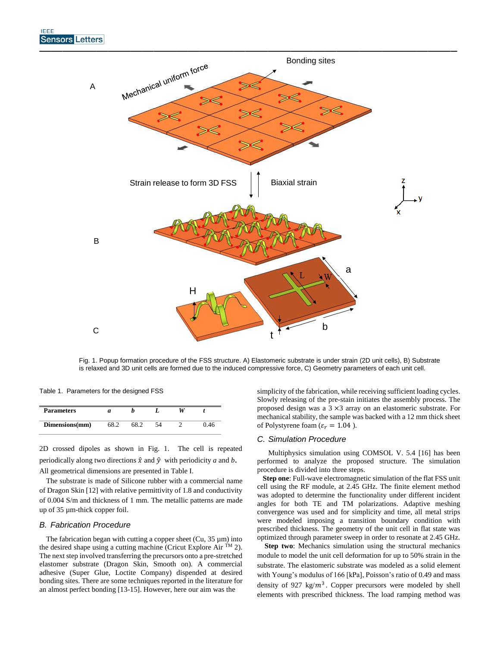

Fig. 1. Popup formation procedure of the FSS structure. A) Elastomeric substrate is under strain (2D unit cells), B) Substrate is relaxed and 3D unit cells are formed due to the induced compressive force, C) Geometry parameters of each unit cell.

Table 1. Parameters for the designed FSS

| <b>Parameters</b> | и |  |      |
|-------------------|---|--|------|
| Dimensions(mm)    |   |  | ).46 |

2D crossed dipoles as shown in Fig. 1. The cell is repeated periodically along two directions  $\hat{x}$  and  $\hat{y}$  with periodicity *a* and *b*. All geometrical dimensions are presented in Table I.

 The substrate is made of Silicone rubber with a commercial name of Dragon Skin [12] with relative permittivity of 1.8 and conductivity of 0.004 S/m and thickness of 1 mm. The metallic patterns are made up of 35 µm-thick copper foil.

#### *B. Fabrication Procedure*

The fabrication began with cutting a copper sheet (Cu,  $35 \mu m$ ) into the desired shape using a cutting machine (Cricut Explore Air TM 2). The next step involved transferring the precursors onto a pre-stretched elastomer substrate (Dragon Skin, Smooth on). A commercial adhesive (Super Glue, Loctite Company) dispended at desired bonding sites. There are some techniques reported in the literature for an almost perfect bonding [13-15]. However, here our aim was the

simplicity of the fabrication, while receiving sufficient loading cycles. Slowly releasing of the pre-stain initiates the assembly process. The proposed design was a 3 ×3 array on an elastomeric substrate. For mechanical stability, the sample was backed with a 12 mm thick sheet of Polystyrene foam ( $\varepsilon_r = 1.04$ ).

#### *C. Simulation Procedure*

 Multiphysics simulation using COMSOL V. 5.4 [16] has been performed to analyze the proposed structure. The simulation procedure is divided into three steps.

 **Step one**: Full-wave electromagnetic simulation of the flat FSS unit cell using the RF module, at 2.45 GHz. The finite element method was adopted to determine the functionality under different incident angles for both TE and TM polarizations. Adaptive meshing convergence was used and for simplicity and time, all metal strips were modeled imposing a transition boundary condition with prescribed thickness. The geometry of the unit cell in flat state was optimized through parameter sweep in order to resonate at 2.45 GHz.

**Step two**: Mechanics simulation using the structural mechanics module to model the unit cell deformation for up to 50% strain in the substrate. The elastomeric substrate was modeled as a solid element with Young's modulus of 166 [kPa], Poisson's ratio of 0.49 and mass density of 927 kg/ $m^3$ . Copper precursors were modeled by shell elements with prescribed thickness. The load ramping method was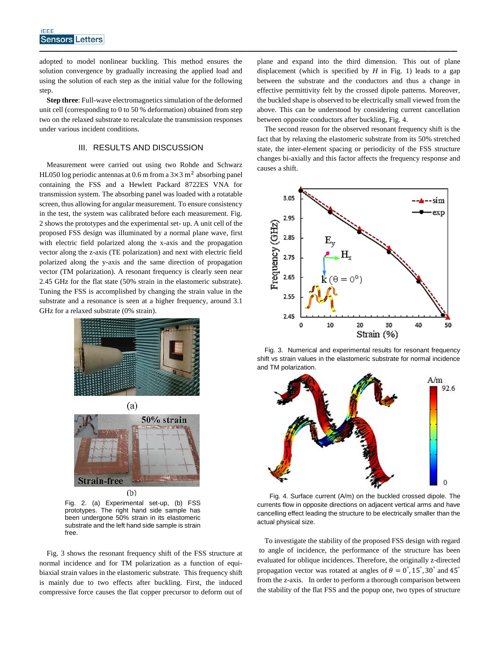adopted to model nonlinear buckling. This method ensures the solution convergence by gradually increasing the applied load and using the solution of each step as the initial value for the following step.

————————————————————————————————————–

**Step three**: Full-wave electromagnetics simulation of the deformed unit cell (corresponding to 0 to 50 % deformation) obtained from step two on the relaxed substrate to recalculate the transmission responses under various incident conditions.

#### III. RESULTS AND DISCUSSION

Measurement were carried out using two Rohde and Schwarz HL050 log periodic antennas at 0.6 m from a  $3\times3$  m<sup>2</sup> absorbing panel containing the FSS and a Hewlett Packard 8722ES VNA for transmission system. The absorbing panel was loaded with a rotatable screen, thus allowing for angular measurement. To ensure consistency in the test, the system was calibrated before each measurement. Fig. 2 shows the prototypes and the experimental set- up. A unit cell of the proposed FSS design was illuminated by a normal plane wave, first with electric field polarized along the x-axis and the propagation vector along the z-axis (TE polarization) and next with electric field polarized along the y-axis and the same direction of propagation vector (TM polarization). A resonant frequency is clearly seen near 2.45 GHz for the flat state (50% strain in the elastomeric substrate). Tuning the FSS is accomplished by changing the strain value in the substrate and a resonance is seen at a higher frequency, around 3.1 GHz for a relaxed substrate (0% strain).





Fig. 2. (a) Experimental set-up, (b) FSS prototypes. The right hand side sample has been undergone 50% strain in its elastomeric substrate and the left hand side sample is strain free.

Fig. 3 shows the resonant frequency shift of the FSS structure at normal incidence and for TM polarization as a function of equibiaxial strain values in the elastomeric substrate. This frequency shift is mainly due to two effects after buckling. First, the induced compressive force causes the flat copper precursor to deform out of plane and expand into the third dimension. This out of plane displacement (which is specified by  $H$  in Fig. 1) leads to a gap between the substrate and the conductors and thus a change in effective permittivity felt by the crossed dipole patterns. Moreover, the buckled shape is observed to be electrically small viewed from the above. This can be understood by considering current cancellation between opposite conductors after buckling, Fig. 4.

The second reason for the observed resonant frequency shift is the fact that by relaxing the elastomeric substrate from its 50% stretched state, the inter-element spacing or periodicity of the FSS structure changes bi-axially and this factor affects the frequency response and causes a shift.



Fig. 3. Numerical and experimental results for resonant frequency shift vs strain values in the elastomeric substrate for normal incidence and TM polarization.



 Fig. 4. Surface current (A/m) on the buckled crossed dipole. The currents flow in opposite directions on adjacent vertical arms and have cancelling effect leading the structure to be electrically smaller than the actual physical size.

To investigate the stability of the proposed FSS design with regard to angle of incidence, the performance of the structure has been evaluated for oblique incidences. Therefore, the originally z-directed propagation vector was rotated at angles of  $\theta = 0^{\degree}$ , 15°, 30° and 45° from the z-axis. In order to perform a thorough comparison between the stability of the flat FSS and the popup one, two types of structure